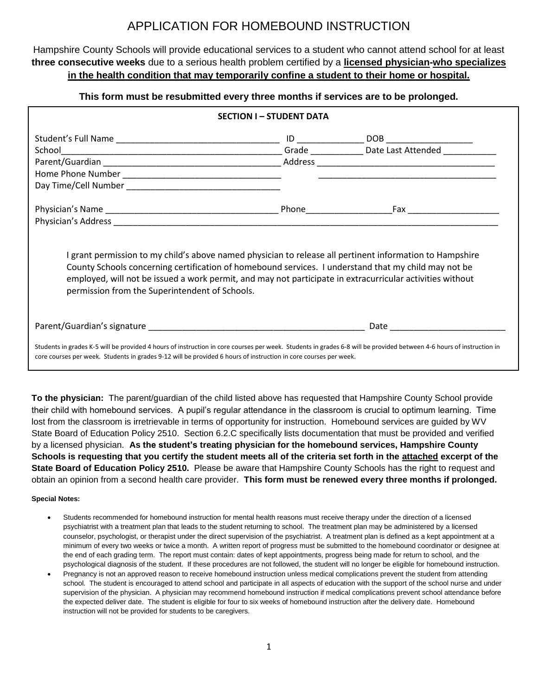## APPLICATION FOR HOMEBOUND INSTRUCTION

Hampshire County Schools will provide educational services to a student who cannot attend school for at least **three consecutive weeks** due to a serious health problem certified by a **licensed physician-who specializes in the health condition that may temporarily confine a student to their home or hospital.**

## **This form must be resubmitted every three months if services are to be prolonged.**

| <b>SECTION I - STUDENT DATA</b>                                                                                                                                                                                                                                                                                                                                                 |  |                                                                                                                                                                                                                                |  |
|---------------------------------------------------------------------------------------------------------------------------------------------------------------------------------------------------------------------------------------------------------------------------------------------------------------------------------------------------------------------------------|--|--------------------------------------------------------------------------------------------------------------------------------------------------------------------------------------------------------------------------------|--|
|                                                                                                                                                                                                                                                                                                                                                                                 |  |                                                                                                                                                                                                                                |  |
|                                                                                                                                                                                                                                                                                                                                                                                 |  |                                                                                                                                                                                                                                |  |
|                                                                                                                                                                                                                                                                                                                                                                                 |  |                                                                                                                                                                                                                                |  |
|                                                                                                                                                                                                                                                                                                                                                                                 |  |                                                                                                                                                                                                                                |  |
|                                                                                                                                                                                                                                                                                                                                                                                 |  |                                                                                                                                                                                                                                |  |
|                                                                                                                                                                                                                                                                                                                                                                                 |  |                                                                                                                                                                                                                                |  |
|                                                                                                                                                                                                                                                                                                                                                                                 |  |                                                                                                                                                                                                                                |  |
| I grant permission to my child's above named physician to release all pertinent information to Hampshire<br>County Schools concerning certification of homebound services. I understand that my child may not be<br>employed, will not be issued a work permit, and may not participate in extracurricular activities without<br>permission from the Superintendent of Schools. |  |                                                                                                                                                                                                                                |  |
|                                                                                                                                                                                                                                                                                                                                                                                 |  | Date and the contract of the contract of the contract of the contract of the contract of the contract of the contract of the contract of the contract of the contract of the contract of the contract of the contract of the c |  |
| Students in grades K-5 will be provided 4 hours of instruction in core courses per week. Students in grades 6-8 will be provided between 4-6 hours of instruction in<br>core courses per week. Students in grades 9-12 will be provided 6 hours of instruction in core courses per week.                                                                                        |  |                                                                                                                                                                                                                                |  |

**To the physician:** The parent/guardian of the child listed above has requested that Hampshire County School provide their child with homebound services. A pupil's regular attendance in the classroom is crucial to optimum learning. Time lost from the classroom is irretrievable in terms of opportunity for instruction. Homebound services are guided by WV State Board of Education Policy 2510. Section 6.2.C specifically lists documentation that must be provided and verified by a licensed physician. **As the student's treating physician for the homebound services, Hampshire County Schools is requesting that you certify the student meets all of the criteria set forth in the attached excerpt of the State Board of Education Policy 2510.** Please be aware that Hampshire County Schools has the right to request and obtain an opinion from a second health care provider. **This form must be renewed every three months if prolonged.**

## **Special Notes:**

- Students recommended for homebound instruction for mental health reasons must receive therapy under the direction of a licensed psychiatrist with a treatment plan that leads to the student returning to school. The treatment plan may be administered by a licensed counselor, psychologist, or therapist under the direct supervision of the psychiatrist. A treatment plan is defined as a kept appointment at a minimum of every two weeks or twice a month. A written report of progress must be submitted to the homebound coordinator or designee at the end of each grading term. The report must contain: dates of kept appointments, progress being made for return to school, and the psychological diagnosis of the student. If these procedures are not followed, the student will no longer be eligible for homebound instruction.
- Pregnancy is not an approved reason to receive homebound instruction unless medical complications prevent the student from attending school. The student is encouraged to attend school and participate in all aspects of education with the support of the school nurse and under supervision of the physician. A physician may recommend homebound instruction if medical complications prevent school attendance before the expected deliver date. The student is eligible for four to six weeks of homebound instruction after the delivery date. Homebound instruction will not be provided for students to be caregivers.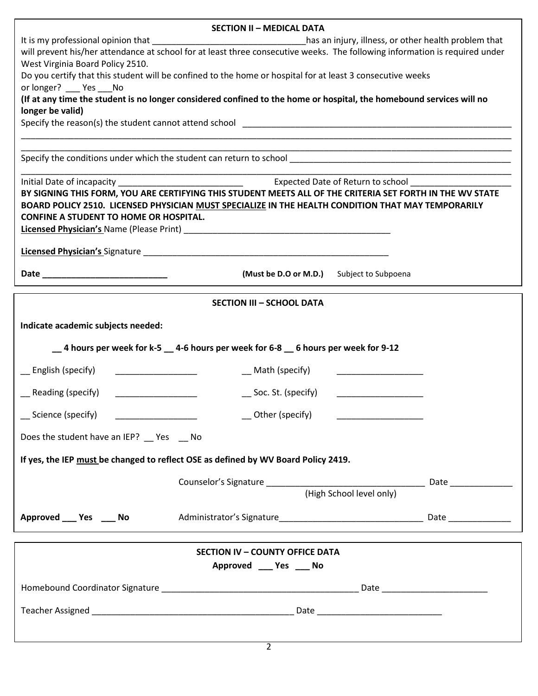| <b>SECTION II - MEDICAL DATA</b>                                                                                                                                                                                                                        |                                                                                                                                                                                                                 |  |
|---------------------------------------------------------------------------------------------------------------------------------------------------------------------------------------------------------------------------------------------------------|-----------------------------------------------------------------------------------------------------------------------------------------------------------------------------------------------------------------|--|
| It is my professional opinion that _________________________________has an injury, illness, or other health problem that<br>will prevent his/her attendance at school for at least three consecutive weeks. The following information is required under |                                                                                                                                                                                                                 |  |
| West Virginia Board Policy 2510.                                                                                                                                                                                                                        |                                                                                                                                                                                                                 |  |
|                                                                                                                                                                                                                                                         | Do you certify that this student will be confined to the home or hospital for at least 3 consecutive weeks                                                                                                      |  |
| or longer? ____ Yes ___ No                                                                                                                                                                                                                              | (If at any time the student is no longer considered confined to the home or hospital, the homebound services will no                                                                                            |  |
| longer be valid)                                                                                                                                                                                                                                        |                                                                                                                                                                                                                 |  |
|                                                                                                                                                                                                                                                         |                                                                                                                                                                                                                 |  |
|                                                                                                                                                                                                                                                         |                                                                                                                                                                                                                 |  |
|                                                                                                                                                                                                                                                         |                                                                                                                                                                                                                 |  |
|                                                                                                                                                                                                                                                         |                                                                                                                                                                                                                 |  |
|                                                                                                                                                                                                                                                         | BY SIGNING THIS FORM, YOU ARE CERTIFYING THIS STUDENT MEETS ALL OF THE CRITERIA SET FORTH IN THE WV STATE<br>BOARD POLICY 2510. LICENSED PHYSICIAN MUST SPECIALIZE IN THE HEALTH CONDITION THAT MAY TEMPORARILY |  |
| <b>CONFINE A STUDENT TO HOME OR HOSPITAL.</b>                                                                                                                                                                                                           |                                                                                                                                                                                                                 |  |
|                                                                                                                                                                                                                                                         |                                                                                                                                                                                                                 |  |
|                                                                                                                                                                                                                                                         |                                                                                                                                                                                                                 |  |
|                                                                                                                                                                                                                                                         | (Must be D.O or M.D.) Subject to Subpoena                                                                                                                                                                       |  |
|                                                                                                                                                                                                                                                         | <b>SECTION III - SCHOOL DATA</b>                                                                                                                                                                                |  |
| Indicate academic subjects needed:                                                                                                                                                                                                                      |                                                                                                                                                                                                                 |  |
|                                                                                                                                                                                                                                                         |                                                                                                                                                                                                                 |  |
|                                                                                                                                                                                                                                                         | _4 hours per week for k-5 __ 4-6 hours per week for 6-8 __ 6 hours per week for 9-12                                                                                                                            |  |
| __ English (specify)<br><u> 1980 - Andrea Andrew Amerikaans III (</u>                                                                                                                                                                                   | __ Math (specify)                                                                                                                                                                                               |  |
| __ Reading (specify)                                                                                                                                                                                                                                    | $\sum$ Soc. St. (specify)                                                                                                                                                                                       |  |
| __ Science (specify)<br><u> 1980 - Andrea Andrew Maria (b. 1980)</u>                                                                                                                                                                                    | $\overline{\phantom{a}}$ Other (specify) $\overline{\phantom{a}}$ $\overline{\phantom{a}}$                                                                                                                      |  |
| Does the student have an IEP?  Simples Section 2010                                                                                                                                                                                                     |                                                                                                                                                                                                                 |  |
|                                                                                                                                                                                                                                                         | If yes, the IEP must be changed to reflect OSE as defined by WV Board Policy 2419.                                                                                                                              |  |
|                                                                                                                                                                                                                                                         |                                                                                                                                                                                                                 |  |
|                                                                                                                                                                                                                                                         | (High School level only)                                                                                                                                                                                        |  |
| Approved _____ Yes _____ No                                                                                                                                                                                                                             |                                                                                                                                                                                                                 |  |
|                                                                                                                                                                                                                                                         | <b>SECTION IV - COUNTY OFFICE DATA</b>                                                                                                                                                                          |  |
|                                                                                                                                                                                                                                                         | Approved ____ Yes ____ No                                                                                                                                                                                       |  |
|                                                                                                                                                                                                                                                         |                                                                                                                                                                                                                 |  |
|                                                                                                                                                                                                                                                         |                                                                                                                                                                                                                 |  |
|                                                                                                                                                                                                                                                         |                                                                                                                                                                                                                 |  |
|                                                                                                                                                                                                                                                         |                                                                                                                                                                                                                 |  |

| ۰. |
|----|
|    |
|    |